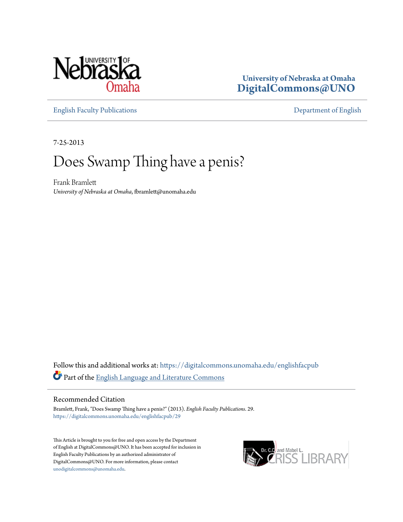

## **University of Nebraska at Omaha [DigitalCommons@UNO](https://digitalcommons.unomaha.edu?utm_source=digitalcommons.unomaha.edu%2Fenglishfacpub%2F29&utm_medium=PDF&utm_campaign=PDFCoverPages)**

[English Faculty Publications](https://digitalcommons.unomaha.edu/englishfacpub?utm_source=digitalcommons.unomaha.edu%2Fenglishfacpub%2F29&utm_medium=PDF&utm_campaign=PDFCoverPages) [Department of English](https://digitalcommons.unomaha.edu/english?utm_source=digitalcommons.unomaha.edu%2Fenglishfacpub%2F29&utm_medium=PDF&utm_campaign=PDFCoverPages)

7-25-2013

# Does Swamp Thing have a penis?

Frank Bramlett *University of Nebraska at Omaha*, fbramlett@unomaha.edu

Follow this and additional works at: [https://digitalcommons.unomaha.edu/englishfacpub](https://digitalcommons.unomaha.edu/englishfacpub?utm_source=digitalcommons.unomaha.edu%2Fenglishfacpub%2F29&utm_medium=PDF&utm_campaign=PDFCoverPages) Part of the [English Language and Literature Commons](http://network.bepress.com/hgg/discipline/455?utm_source=digitalcommons.unomaha.edu%2Fenglishfacpub%2F29&utm_medium=PDF&utm_campaign=PDFCoverPages)

#### Recommended Citation

Bramlett, Frank, "Does Swamp Thing have a penis?" (2013). *English Faculty Publications*. 29. [https://digitalcommons.unomaha.edu/englishfacpub/29](https://digitalcommons.unomaha.edu/englishfacpub/29?utm_source=digitalcommons.unomaha.edu%2Fenglishfacpub%2F29&utm_medium=PDF&utm_campaign=PDFCoverPages)

This Article is brought to you for free and open access by the Department of English at DigitalCommons@UNO. It has been accepted for inclusion in English Faculty Publications by an authorized administrator of DigitalCommons@UNO. For more information, please contact [unodigitalcommons@unomaha.edu](mailto:unodigitalcommons@unomaha.edu).

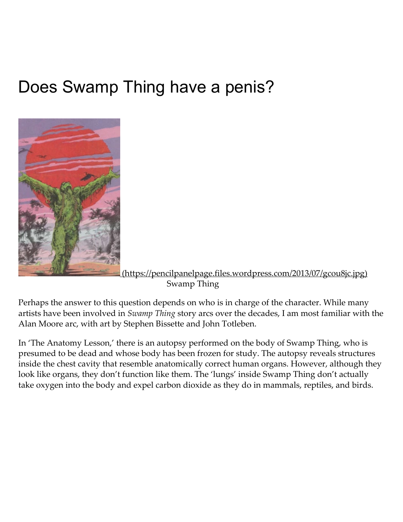# Does Swamp Thing have a penis?



[\(https://pencilpanelpage.files.wordpress.com/2013/07/gcou8jc.jpg\)](https://pencilpanelpage.files.wordpress.com/2013/07/gcou8jc.jpg) Swamp Thing

Perhaps the answer to this question depends on who is in charge of the character. While many artists have been involved in Swamp Thing story arcs over the decades, I am most familiar with the Alan Moore arc, with art by Stephen Bissette and John Totleben.

In 'The Anatomy Lesson,' there is an autopsy performed on the body of Swamp Thing, who is presumed to be dead and whose body has been frozen for study. The autopsy reveals structures inside the chest cavity that resemble anatomically correct human organs. However, although they look like organs, they don't function like them. The 'lungs' inside Swamp Thing don't actually take oxygen into the body and expel carbon dioxide as they do in mammals, reptiles, and birds.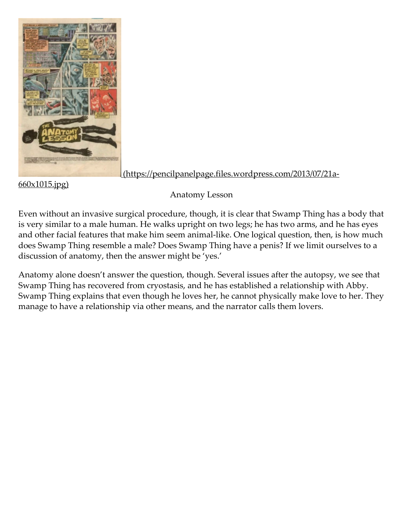

660x1015.jpg)

[\(https://pencilpanelpage.files.wordpress.com/2013/07/21a‑](https://pencilpanelpage.files.wordpress.com/2013/07/21a-660x1015.jpg)

Anatomy Lesson

Even without an invasive surgical procedure, though, it is clear that Swamp Thing has a body that is very similar to a male human. He walks upright on two legs; he has two arms, and he has eyes and other facial features that make him seem animal-like. One logical question, then, is how much does Swamp Thing resemble a male? Does Swamp Thing have a penis? If we limit ourselves to a discussion of anatomy, then the answer might be 'yes.'

Anatomy alone doesn't answer the question, though. Several issues after the autopsy, we see that Swamp Thing has recovered from cryostasis, and he has established a relationship with Abby. Swamp Thing explains that even though he loves her, he cannot physically make love to her. They manage to have a relationship via other means, and the narrator calls them lovers.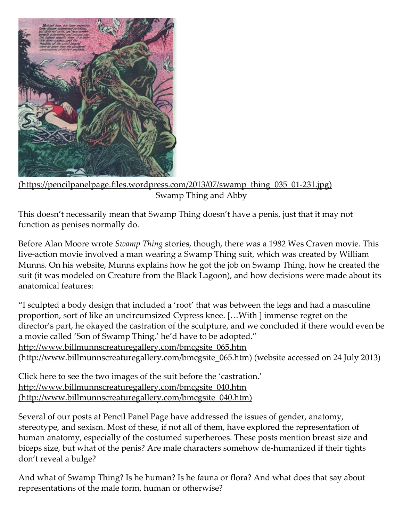

(https://pencilpanelpage.files.wordpress.com/2013/07/swamp\_thing\_035\_01-231.jpg) Swamp Thing and Abby

This doesn't necessarily mean that Swamp Thing doesn't have a penis, just that it may not function as penises normally do.

Before Alan Moore wrote Swamp Thing stories, though, there was a 1982 Wes Craven movie. This live‑action movie involved a man wearing a Swamp Thing suit, which was created by William Munns. On his website, Munns explains how he got the job on Swamp Thing, how he created the suit (it was modeled on Creature from the Black Lagoon), and how decisions were made about its anatomical features:

"I sculpted a body design that included a 'root' that was between the legs and had a masculine proportion, sort of like an uncircumsized Cypress knee. […With ] immense regret on the director's part, he okayed the castration of the sculpture, and we concluded if there would even be a movie called 'Son of Swamp Thing,' he'd have to be adopted." http://www.billmunnscreaturegallery.com/bmcgsite\_065.htm [\(http://www.billmunnscreaturegallery.com/bmcgsite\\_065.htm\)](http://www.billmunnscreaturegallery.com/bmcgsite_065.htm) (website accessed on 24 July 2013)

Click here to see the two images of the suit before the 'castration.' http://www.billmunnscreaturegallery.com/bmcgsite\_040.htm [\(http://www.billmunnscreaturegallery.com/bmcgsite\\_040.htm\)](http://www.billmunnscreaturegallery.com/bmcgsite_040.htm)

Several of our posts at Pencil Panel Page have addressed the issues of gender, anatomy, stereotype, and sexism. Most of these, if not all of them, have explored the representation of human anatomy, especially of the costumed superheroes. These posts mention breast size and biceps size, but what of the penis? Are male characters somehow de‑humanized if their tights don't reveal a bulge?

And what of Swamp Thing? Is he human? Is he fauna or flora? And what does that say about representations of the male form, human or otherwise?